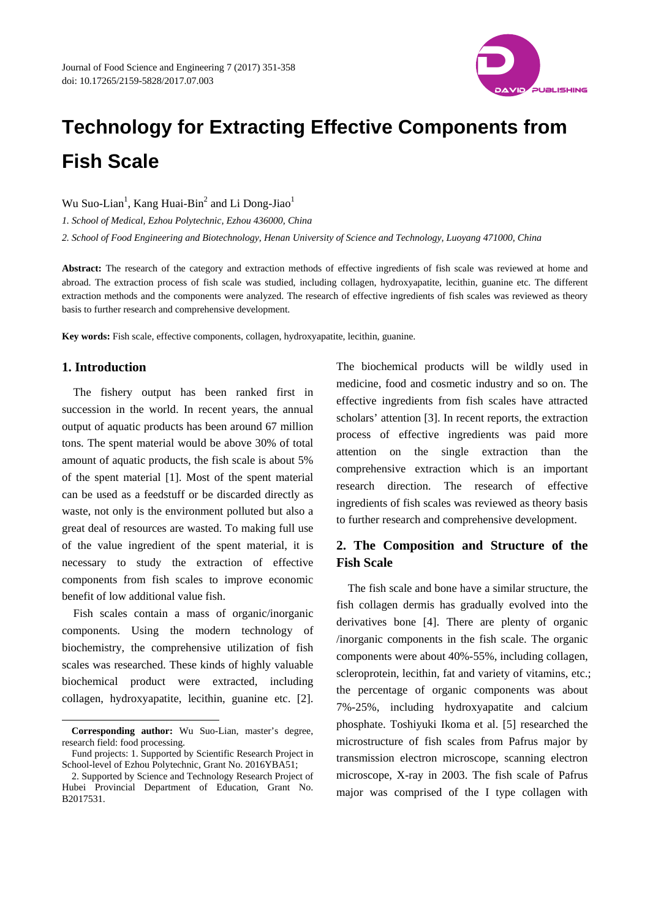

# **Technology for Extracting Effective Components from Fish Scale**

Wu Suo-Lian<sup>1</sup>, Kang Huai-Bin<sup>2</sup> and Li Dong-Jiao<sup>1</sup>

*1. School of Medical, Ezhou Polytechnic, Ezhou 436000, China 2. School of Food Engineering and Biotechnology, Henan University of Science and Technology, Luoyang 471000, China* 

**Abstract:** The research of the category and extraction methods of effective ingredients of fish scale was reviewed at home and abroad. The extraction process of fish scale was studied, including collagen, hydroxyapatite, lecithin, guanine etc. The different extraction methods and the components were analyzed. The research of effective ingredients of fish scales was reviewed as theory basis to further research and comprehensive development.

**Key words:** Fish scale, effective components, collagen, hydroxyapatite, lecithin, guanine.

## **1. Introduction**

l

The fishery output has been ranked first in succession in the world. In recent years, the annual output of aquatic products has been around 67 million tons. The spent material would be above 30% of total amount of aquatic products, the fish scale is about 5% of the spent material [1]. Most of the spent material can be used as a feedstuff or be discarded directly as waste, not only is the environment polluted but also a great deal of resources are wasted. To making full use of the value ingredient of the spent material, it is necessary to study the extraction of effective components from fish scales to improve economic benefit of low additional value fish.

Fish scales contain a mass of organic/inorganic components. Using the modern technology of biochemistry, the comprehensive utilization of fish scales was researched. These kinds of highly valuable biochemical product were extracted, including collagen, hydroxyapatite, lecithin, guanine etc. [2].

The biochemical products will be wildly used in medicine, food and cosmetic industry and so on. The effective ingredients from fish scales have attracted scholars' attention [3]. In recent reports, the extraction process of effective ingredients was paid more attention on the single extraction than the comprehensive extraction which is an important research direction. The research of effective ingredients of fish scales was reviewed as theory basis to further research and comprehensive development.

# **2. The Composition and Structure of the Fish Scale**

The fish scale and bone have a similar structure, the fish collagen dermis has gradually evolved into the derivatives bone [4]. There are plenty of organic /inorganic components in the fish scale. The organic components were about 40%-55%, including collagen, scleroprotein, lecithin, fat and variety of vitamins, etc.; the percentage of organic components was about 7%-25%, including hydroxyapatite and calcium phosphate. Toshiyuki Ikoma et al. [5] researched the microstructure of fish scales from Pafrus major by transmission electron microscope, scanning electron microscope, X-ray in 2003. The fish scale of Pafrus major was comprised of the I type collagen with

**Corresponding author:** Wu Suo-Lian, master's degree, research field: food processing.

Fund projects: 1. Supported by Scientific Research Project in School-level of Ezhou Polytechnic, Grant No. 2016YBA51;

<sup>2.</sup> Supported by Science and Technology Research Project of Hubei Provincial Department of Education, Grant No. B2017531.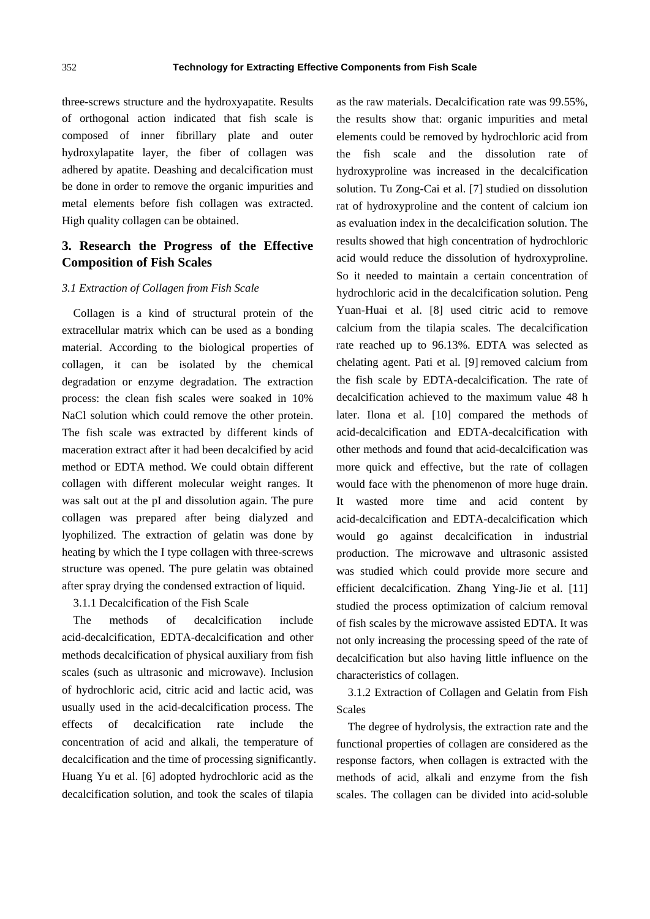three-screws structure and the hydroxyapatite. Results of orthogonal action indicated that fish scale is composed of inner fibrillary plate and outer hydroxylapatite layer, the fiber of collagen was adhered by apatite. Deashing and decalcification must be done in order to remove the organic impurities and metal elements before fish collagen was extracted. High quality collagen can be obtained.

## **3. Research the Progress of the Effective Composition of Fish Scales**

#### *3.1 Extraction of Collagen from Fish Scale*

Collagen is a kind of structural protein of the extracellular matrix which can be used as a bonding material. According to the biological properties of collagen, it can be isolated by the chemical degradation or enzyme degradation. The extraction process: the clean fish scales were soaked in 10% NaCl solution which could remove the other protein. The fish scale was extracted by different kinds of maceration extract after it had been decalcified by acid method or EDTA method. We could obtain different collagen with different molecular weight ranges. It was salt out at the pI and dissolution again. The pure collagen was prepared after being dialyzed and lyophilized. The extraction of gelatin was done by heating by which the I type collagen with three-screws structure was opened. The pure gelatin was obtained after spray drying the condensed extraction of liquid.

### 3.1.1 Decalcification of the Fish Scale

The methods of decalcification include acid-decalcification, EDTA-decalcification and other methods decalcification of physical auxiliary from fish scales (such as ultrasonic and microwave). Inclusion of hydrochloric acid, citric acid and lactic acid, was usually used in the acid-decalcification process. The effects of decalcification rate include the concentration of acid and alkali, the temperature of decalcification and the time of processing significantly. Huang Yu et al. [6] adopted hydrochloric acid as the decalcification solution, and took the scales of tilapia

as the raw materials. Decalcification rate was 99.55%, the results show that: organic impurities and metal elements could be removed by hydrochloric acid from the fish scale and the dissolution rate of hydroxyproline was increased in the decalcification solution. Tu Zong-Cai et al. [7] studied on dissolution rat of hydroxyproline and the content of calcium ion as evaluation index in the decalcification solution. The results showed that high concentration of hydrochloric acid would reduce the dissolution of hydroxyproline. So it needed to maintain a certain concentration of hydrochloric acid in the decalcification solution. Peng Yuan-Huai et al. [8] used citric acid to remove calcium from the tilapia scales. The decalcification rate reached up to 96.13%. EDTA was selected as chelating agent. Pati et al. [9] removed calcium from the fish scale by EDTA-decalcification. The rate of decalcification achieved to the maximum value 48 h later. Ilona et al. [10] compared the methods of acid-decalcification and EDTA-decalcification with other methods and found that acid-decalcification was more quick and effective, but the rate of collagen would face with the phenomenon of more huge drain. It wasted more time and acid content by acid-decalcification and EDTA-decalcification which would go against decalcification in industrial production. The microwave and ultrasonic assisted was studied which could provide more secure and efficient decalcification. Zhang Ying-Jie et al. [11] studied the process optimization of calcium removal of fish scales by the microwave assisted EDTA. It was not only increasing the processing speed of the rate of decalcification but also having little influence on the characteristics of collagen.

3.1.2 Extraction of Collagen and Gelatin from Fish Scales

The degree of hydrolysis, the extraction rate and the functional properties of collagen are considered as the response factors, when collagen is extracted with the methods of acid, alkali and enzyme from the fish scales. The collagen can be divided into acid-soluble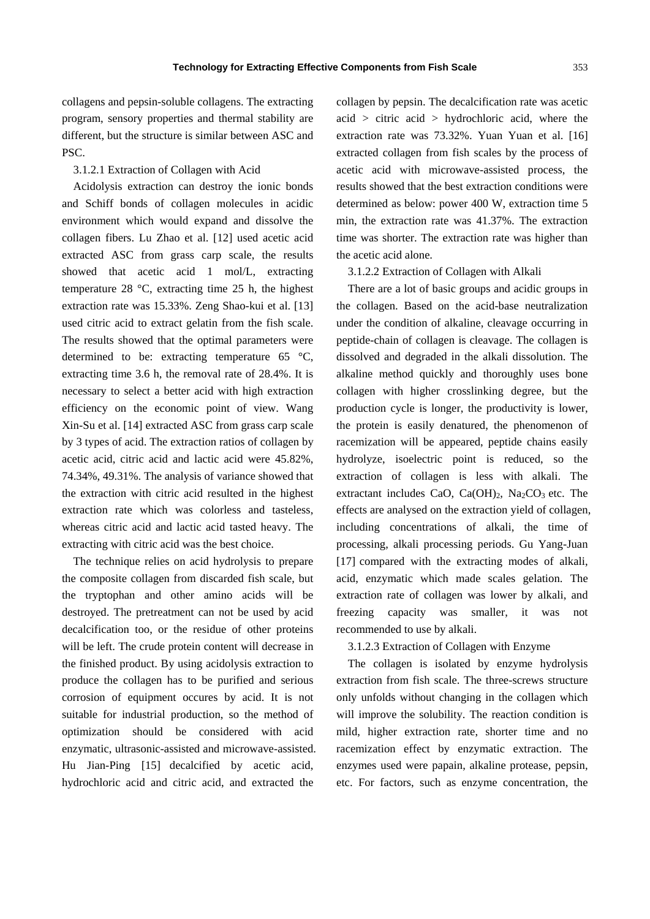collagens and pepsin-soluble collagens. The extracting program, sensory properties and thermal stability are different, but the structure is similar between ASC and PSC.

3.1.2.1 Extraction of Collagen with Acid

Acidolysis extraction can destroy the ionic bonds and Schiff bonds of collagen molecules in acidic environment which would expand and dissolve the collagen fibers. Lu Zhao et al. [12] used acetic acid extracted ASC from grass carp scale, the results showed that acetic acid 1 mol/L, extracting temperature 28 °C, extracting time 25 h, the highest extraction rate was 15.33%. Zeng Shao-kui et al. [13] used citric acid to extract gelatin from the fish scale. The results showed that the optimal parameters were determined to be: extracting temperature 65 °C, extracting time 3.6 h, the removal rate of 28.4%. It is necessary to select a better acid with high extraction efficiency on the economic point of view. Wang Xin-Su et al. [14] extracted ASC from grass carp scale by 3 types of acid. The extraction ratios of collagen by acetic acid, citric acid and lactic acid were 45.82%, 74.34%, 49.31%. The analysis of variance showed that the extraction with citric acid resulted in the highest extraction rate which was colorless and tasteless, whereas citric acid and lactic acid tasted heavy. The extracting with citric acid was the best choice.

The technique relies on acid hydrolysis to prepare the composite collagen from discarded fish scale, but the tryptophan and other amino acids will be destroyed. The pretreatment can not be used by acid decalcification too, or the residue of other proteins will be left. The crude protein content will decrease in the finished product. By using acidolysis extraction to produce the collagen has to be purified and serious corrosion of equipment occures by acid. It is not suitable for industrial production, so the method of optimization should be considered with acid enzymatic, ultrasonic-assisted and microwave-assisted. Hu Jian-Ping [15] decalcified by acetic acid, hydrochloric acid and citric acid, and extracted the

collagen by pepsin. The decalcification rate was acetic  $acid$  > citric  $acid$  > hydrochloric acid, where the extraction rate was 73.32%. Yuan Yuan et al. [16] extracted collagen from fish scales by the process of acetic acid with microwave-assisted process, the results showed that the best extraction conditions were determined as below: power 400 W, extraction time 5 min, the extraction rate was 41.37%. The extraction time was shorter. The extraction rate was higher than the acetic acid alone.

3.1.2.2 Extraction of Collagen with Alkali

There are a lot of basic groups and acidic groups in the collagen. Based on the acid-base neutralization under the condition of alkaline, cleavage occurring in peptide-chain of collagen is cleavage. The collagen is dissolved and degraded in the alkali dissolution. The alkaline method quickly and thoroughly uses bone collagen with higher crosslinking degree, but the production cycle is longer, the productivity is lower, the protein is easily denatured, the phenomenon of racemization will be appeared, peptide chains easily hydrolyze, isoelectric point is reduced, so the extraction of collagen is less with alkali. The extractant includes CaO, Ca(OH) $_2$ , Na<sub>2</sub>CO<sub>3</sub> etc. The effects are analysed on the extraction yield of collagen, including concentrations of alkali, the time of processing, alkali processing periods. Gu Yang-Juan [17] compared with the extracting modes of alkali, acid, enzymatic which made scales gelation. The extraction rate of collagen was lower by alkali, and freezing capacity was smaller, it was not recommended to use by alkali.

#### 3.1.2.3 Extraction of Collagen with Enzyme

The collagen is isolated by enzyme hydrolysis extraction from fish scale. The three-screws structure only unfolds without changing in the collagen which will improve the solubility. The reaction condition is mild, higher extraction rate, shorter time and no racemization effect by enzymatic extraction. The enzymes used were papain, alkaline protease, pepsin, etc. For factors, such as enzyme concentration, the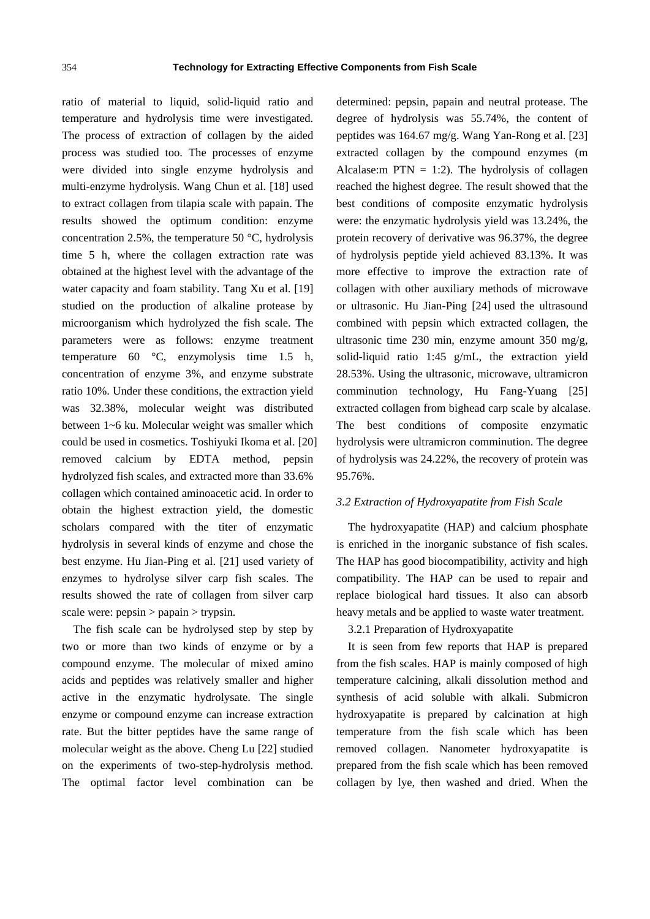ratio of material to liquid, solid-liquid ratio and temperature and hydrolysis time were investigated. The process of extraction of collagen by the aided process was studied too. The processes of enzyme were divided into single enzyme hydrolysis and multi-enzyme hydrolysis. Wang Chun et al. [18] used to extract collagen from tilapia scale with papain. The results showed the optimum condition: enzyme concentration 2.5%, the temperature 50 °C, hydrolysis time 5 h, where the collagen extraction rate was obtained at the highest level with the advantage of the water capacity and foam stability. Tang Xu et al. [19] studied on the production of alkaline protease by microorganism which hydrolyzed the fish scale. The parameters were as follows: enzyme treatment temperature 60 °C, enzymolysis time 1.5 h, concentration of enzyme 3%, and enzyme substrate ratio 10%. Under these conditions, the extraction yield was 32.38%, molecular weight was distributed between 1~6 ku. Molecular weight was smaller which could be used in cosmetics. Toshiyuki Ikoma et al. [20] removed calcium by EDTA method, pepsin hydrolyzed fish scales, and extracted more than 33.6% collagen which contained aminoacetic acid. In order to obtain the highest extraction yield, the domestic scholars compared with the titer of enzymatic hydrolysis in several kinds of enzyme and chose the best enzyme. Hu Jian-Ping et al. [21] used variety of enzymes to hydrolyse silver carp fish scales. The results showed the rate of collagen from silver carp scale were:  $pepsin > papain > trypsin$ .

The fish scale can be hydrolysed step by step by two or more than two kinds of enzyme or by a compound enzyme. The molecular of mixed amino acids and peptides was relatively smaller and higher active in the enzymatic hydrolysate. The single enzyme or compound enzyme can increase extraction rate. But the bitter peptides have the same range of molecular weight as the above. Cheng Lu [22] studied on the experiments of two-step-hydrolysis method. The optimal factor level combination can be determined: pepsin, papain and neutral protease. The degree of hydrolysis was 55.74%, the content of peptides was 164.67 mg/g. Wang Yan-Rong et al. [23] extracted collagen by the compound enzymes (m Alcalase: m PTN = 1:2). The hydrolysis of collagen reached the highest degree. The result showed that the best conditions of composite enzymatic hydrolysis were: the enzymatic hydrolysis yield was 13.24%, the protein recovery of derivative was 96.37%, the degree of hydrolysis peptide yield achieved 83.13%. It was more effective to improve the extraction rate of collagen with other auxiliary methods of microwave or ultrasonic. Hu Jian-Ping [24] used the ultrasound combined with pepsin which extracted collagen, the ultrasonic time 230 min, enzyme amount 350 mg/g, solid-liquid ratio 1:45 g/mL, the extraction yield 28.53%. Using the ultrasonic, microwave, ultramicron comminution technology, Hu Fang-Yuang [25] extracted collagen from bighead carp scale by alcalase. The best conditions of composite enzymatic hydrolysis were ultramicron comminution. The degree of hydrolysis was 24.22%, the recovery of protein was 95.76%.

#### *3.2 Extraction of Hydroxyapatite from Fish Scale*

The hydroxyapatite (HAP) and calcium phosphate is enriched in the inorganic substance of fish scales. The HAP has good biocompatibility, activity and high compatibility. The HAP can be used to repair and replace biological hard tissues. It also can absorb heavy metals and be applied to waste water treatment.

## 3.2.1 Preparation of Hydroxyapatite

It is seen from few reports that HAP is prepared from the fish scales. HAP is mainly composed of high temperature calcining, alkali dissolution method and synthesis of acid soluble with alkali. Submicron hydroxyapatite is prepared by calcination at high temperature from the fish scale which has been removed collagen. Nanometer hydroxyapatite is prepared from the fish scale which has been removed collagen by lye, then washed and dried. When the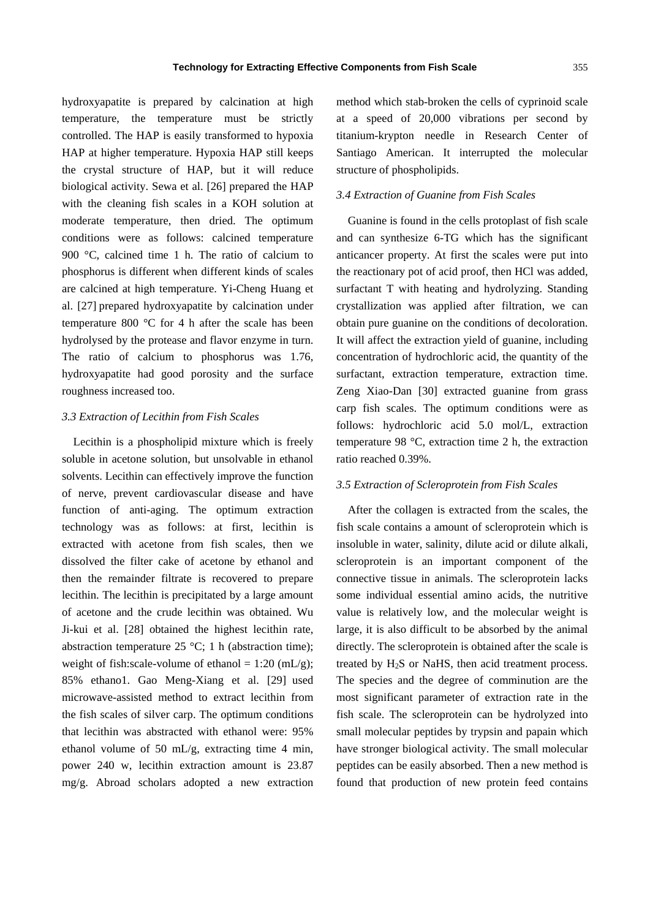hydroxyapatite is prepared by calcination at high temperature, the temperature must be strictly controlled. The HAP is easily transformed to hypoxia HAP at higher temperature. Hypoxia HAP still keeps the crystal structure of HAP, but it will reduce biological activity. Sewa et al. [26] prepared the HAP with the cleaning fish scales in a KOH solution at moderate temperature, then dried. The optimum conditions were as follows: calcined temperature 900 °C, calcined time 1 h. The ratio of calcium to phosphorus is different when different kinds of scales are calcined at high temperature. Yi-Cheng Huang et al. [27] prepared hydroxyapatite by calcination under temperature 800 °C for 4 h after the scale has been hydrolysed by the protease and flavor enzyme in turn. The ratio of calcium to phosphorus was 1.76, hydroxyapatite had good porosity and the surface roughness increased too.

#### *3.3 Extraction of Lecithin from Fish Scales*

Lecithin is a phospholipid mixture which is freely soluble in acetone solution, but unsolvable in ethanol solvents. Lecithin can effectively improve the function of nerve, prevent cardiovascular disease and have function of anti-aging. The optimum extraction technology was as follows: at first, lecithin is extracted with acetone from fish scales, then we dissolved the filter cake of acetone by ethanol and then the remainder filtrate is recovered to prepare lecithin. The lecithin is precipitated by a large amount of acetone and the crude lecithin was obtained. Wu Ji-kui et al. [28] obtained the highest lecithin rate, abstraction temperature 25  $^{\circ}$ C; 1 h (abstraction time); weight of fish:scale-volume of ethanol =  $1:20 \text{ (mL/g)}$ ; 85% ethano1. Gao Meng-Xiang et al. [29] used microwave-assisted method to extract lecithin from the fish scales of silver carp. The optimum conditions that lecithin was abstracted with ethanol were: 95% ethanol volume of 50 mL/g, extracting time 4 min, power 240 w, lecithin extraction amount is 23.87 mg/g. Abroad scholars adopted a new extraction method which stab-broken the cells of cyprinoid scale at a speed of 20,000 vibrations per second by titanium-krypton needle in Research Center of Santiago American. It interrupted the molecular structure of phospholipids.

#### *3.4 Extraction of Guanine from Fish Scales*

Guanine is found in the cells protoplast of fish scale and can synthesize 6-TG which has the significant anticancer property. At first the scales were put into the reactionary pot of acid proof, then HCl was added, surfactant T with heating and hydrolyzing. Standing crystallization was applied after filtration, we can obtain pure guanine on the conditions of decoloration. It will affect the extraction yield of guanine, including concentration of hydrochloric acid, the quantity of the surfactant, extraction temperature, extraction time. Zeng Xiao-Dan [30] extracted guanine from grass carp fish scales. The optimum conditions were as follows: hydrochloric acid 5.0 mol/L, extraction temperature 98 °C, extraction time 2 h, the extraction ratio reached 0.39%.

#### *3.5 Extraction of Scleroprotein from Fish Scales*

After the collagen is extracted from the scales, the fish scale contains a amount of scleroprotein which is insoluble in water, salinity, dilute acid or dilute alkali, scleroprotein is an important component of the connective tissue in animals. The scleroprotein lacks some individual essential amino acids, the nutritive value is relatively low, and the molecular weight is large, it is also difficult to be absorbed by the animal directly. The scleroprotein is obtained after the scale is treated by H<sub>2</sub>S or NaHS, then acid treatment process. The species and the degree of comminution are the most significant parameter of extraction rate in the fish scale. The scleroprotein can be hydrolyzed into small molecular peptides by trypsin and papain which have stronger biological activity. The small molecular peptides can be easily absorbed. Then a new method is found that production of new protein feed contains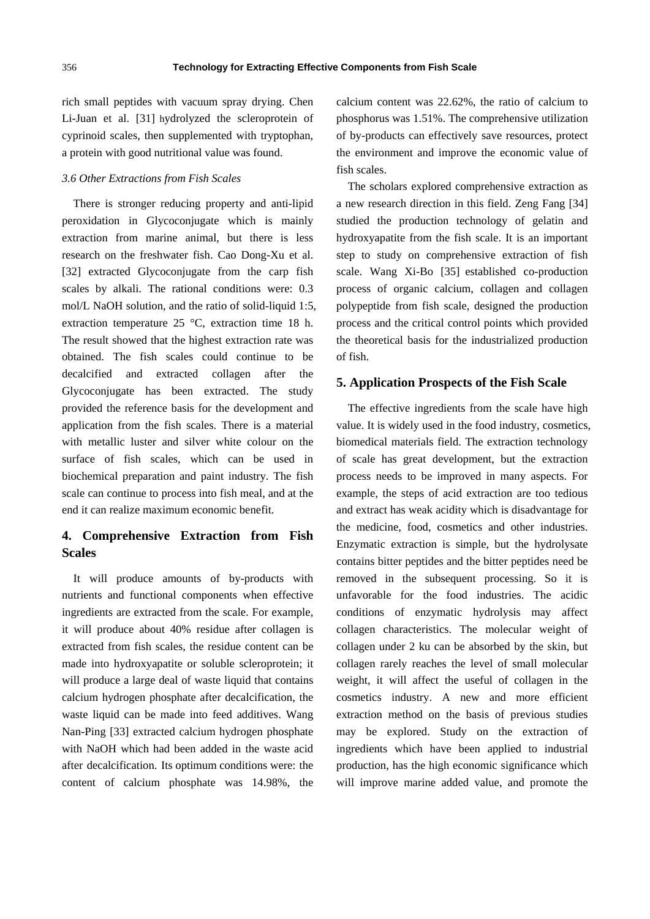rich small peptides with vacuum spray drying. Chen Li-Juan et al. [31] hydrolyzed the scleroprotein of cyprinoid scales, then supplemented with tryptophan, a protein with good nutritional value was found.

#### *3.6 Other Extractions from Fish Scales*

There is stronger reducing property and anti-lipid peroxidation in Glycoconjugate which is mainly extraction from marine animal, but there is less research on the freshwater fish. Cao Dong-Xu et al. [32] extracted Glycoconjugate from the carp fish scales by alkali. The rational conditions were: 0.3 mol/L NaOH solution, and the ratio of solid-liquid 1:5, extraction temperature 25 °C, extraction time 18 h. The result showed that the highest extraction rate was obtained. The fish scales could continue to be decalcified and extracted collagen after the Glycoconjugate has been extracted. The study provided the reference basis for the development and application from the fish scales. There is a material with metallic luster and silver white colour on the surface of fish scales, which can be used in biochemical preparation and paint industry. The fish scale can continue to process into fish meal, and at the end it can realize maximum economic benefit.

## **4. Comprehensive Extraction from Fish Scales**

It will produce amounts of by-products with nutrients and functional components when effective ingredients are extracted from the scale. For example, it will produce about 40% residue after collagen is extracted from fish scales, the residue content can be made into hydroxyapatite or soluble scleroprotein; it will produce a large deal of waste liquid that contains calcium hydrogen phosphate after decalcification, the waste liquid can be made into feed additives. Wang Nan-Ping [33] extracted calcium hydrogen phosphate with NaOH which had been added in the waste acid after decalcification. Its optimum conditions were: the content of calcium phosphate was 14.98%, the

calcium content was 22.62%, the ratio of calcium to phosphorus was 1.51%. The comprehensive utilization of by-products can effectively save resources, protect the environment and improve the economic value of fish scales.

The scholars explored comprehensive extraction as a new research direction in this field. Zeng Fang [34] studied the production technology of gelatin and hydroxyapatite from the fish scale. It is an important step to study on comprehensive extraction of fish scale. Wang Xi-Bo [35] established co-production process of organic calcium, collagen and collagen polypeptide from fish scale, designed the production process and the critical control points which provided the theoretical basis for the industrialized production of fish.

#### **5. Application Prospects of the Fish Scale**

The effective ingredients from the scale have high value. It is widely used in the food industry, cosmetics, biomedical materials field. The extraction technology of scale has great development, but the extraction process needs to be improved in many aspects. For example, the steps of acid extraction are too tedious and extract has weak acidity which is disadvantage for the medicine, food, cosmetics and other industries. Enzymatic extraction is simple, but the hydrolysate contains bitter peptides and the bitter peptides need be removed in the subsequent processing. So it is unfavorable for the food industries. The acidic conditions of enzymatic hydrolysis may affect collagen characteristics. The molecular weight of collagen under 2 ku can be absorbed by the skin, but collagen rarely reaches the level of small molecular weight, it will affect the useful of collagen in the cosmetics industry. A new and more efficient extraction method on the basis of previous studies may be explored. Study on the extraction of ingredients which have been applied to industrial production, has the high economic significance which will improve marine added value, and promote the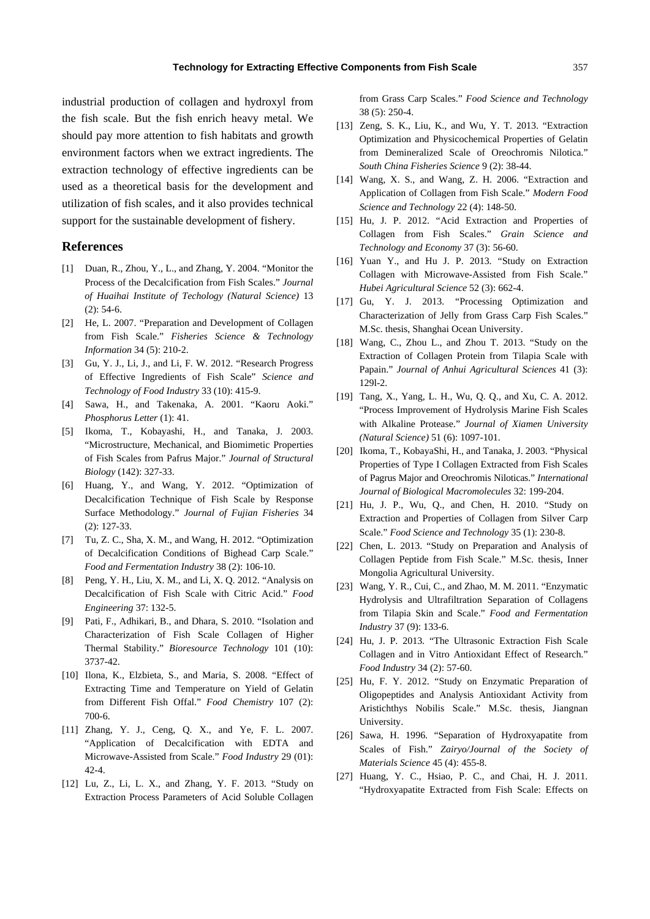industrial production of collagen and hydroxyl from the fish scale. But the fish enrich heavy metal. We should pay more attention to fish habitats and growth environment factors when we extract ingredients. The extraction technology of effective ingredients can be used as a theoretical basis for the development and utilization of fish scales, and it also provides technical support for the sustainable development of fishery.

#### **References**

- [1] Duan, R., Zhou, Y., L., and Zhang, Y. 2004. "Monitor the Process of the Decalcification from Fish Scales." *Journal of Huaihai Institute of Techology (Natural Science)* 13 (2): 54-6.
- [2] He, L. 2007. "Preparation and Development of Collagen from Fish Scale." *Fisheries Science & Technology Information* 34 (5): 210-2.
- [3] Gu, Y. J., Li, J., and Li, F. W. 2012. "Research Progress of Effective Ingredients of Fish Scale" *Science and Technology of Food Industry* 33 (10): 415-9.
- [4] Sawa, H., and Takenaka, A. 2001. "Kaoru Aoki." *Phosphorus Letter* (1): 41.
- [5] Ikoma, T., Kobayashi, H., and Tanaka, J. 2003. "Microstructure, Mechanical, and Biomimetic Properties of Fish Scales from Pafrus Major." *Journal of Structural Biology* (142): 327-33.
- [6] Huang, Y., and Wang, Y. 2012. "Optimization of Decalcification Technique of Fish Scale by Response Surface Methodology." *Journal of Fujian Fisheries* 34 (2): 127-33.
- [7] Tu, Z. C., Sha, X. M., and Wang, H. 2012. "Optimization of Decalcification Conditions of Bighead Carp Scale." *Food and Fermentation Industry* 38 (2): 106-10.
- [8] Peng, Y. H., Liu, X. M., and Li, X. Q. 2012. "Analysis on Decalcification of Fish Scale with Citric Acid." *Food Engineering* 37: 132-5.
- [9] Pati, F., Adhikari, B., and Dhara, S. 2010. "Isolation and Characterization of Fish Scale Collagen of Higher Thermal Stability." *Bioresource Technology* 101 (10): 3737-42.
- [10] Ilona, K., Elzbieta, S., and Maria, S. 2008. "Effect of Extracting Time and Temperature on Yield of Gelatin from Different Fish Offal." *Food Chemistry* 107 (2): 700-6.
- [11] Zhang, Y. J., Ceng, Q. X., and Ye, F. L. 2007. "Application of Decalcification with EDTA and Microwave-Assisted from Scale." *Food Industry* 29 (01): 42-4.
- [12] Lu, Z., Li, L. X., and Zhang, Y. F. 2013. "Study on Extraction Process Parameters of Acid Soluble Collagen

from Grass Carp Scales." *Food Science and Technology* 38 (5): 250-4.

- [13] Zeng, S. K., Liu, K., and Wu, Y. T. 2013. "Extraction Optimization and Physicochemical Properties of Gelatin from Demineralized Scale of Oreochromis Nilotica." *South China Fisheries Science* 9 (2): 38-44.
- [14] Wang, X. S., and Wang, Z. H. 2006. "Extraction and Application of Collagen from Fish Scale." *Modern Food Science and Technology* 22 (4): 148-50.
- [15] Hu, J. P. 2012. "Acid Extraction and Properties of Collagen from Fish Scales." *Grain Science and Technology and Economy* 37 (3): 56-60.
- [16] Yuan Y., and Hu J. P. 2013. "Study on Extraction Collagen with Microwave-Assisted from Fish Scale." *Hubei Agricultural Science* 52 (3): 662-4.
- [17] Gu, Y. J. 2013. "Processing Optimization and Characterization of Jelly from Grass Carp Fish Scales." M.Sc. thesis, Shanghai Ocean University.
- [18] Wang, C., Zhou L., and Zhou T. 2013. "Study on the Extraction of Collagen Protein from Tilapia Scale with Papain." *Journal of Anhui Agricultural Sciences* 41 (3): 129l-2.
- [19] Tang, X., Yang, L. H., Wu, Q. Q., and Xu, C. A. 2012. "Process Improvement of Hydrolysis Marine Fish Scales with Alkaline Protease." *Journal of Xiamen University (Natural Science)* 51 (6): 1097-101.
- [20] Ikoma, T., KobayaShi, H., and Tanaka, J. 2003. "Physical Properties of Type I Collagen Extracted from Fish Scales of Pagrus Major and Oreochromis Niloticas." *International Journal of Biological Macromolecules* 32: 199-204.
- [21] Hu, J. P., Wu, Q., and Chen, H. 2010. "Study on Extraction and Properties of Collagen from Silver Carp Scale." *Food Science and Technology* 35 (1): 230-8.
- [22] Chen, L. 2013. "Study on Preparation and Analysis of Collagen Peptide from Fish Scale." M.Sc. thesis, Inner Mongolia Agricultural University.
- [23] Wang, Y. R., Cui, C., and Zhao, M. M. 2011. "Enzymatic Hydrolysis and Ultrafiltration Separation of Collagens from Tilapia Skin and Scale." *Food and Fermentation Industry* 37 (9): 133-6.
- [24] Hu, J. P. 2013. "The Ultrasonic Extraction Fish Scale Collagen and in Vitro Antioxidant Effect of Research." *Food Industry* 34 (2): 57-60.
- [25] Hu, F. Y. 2012. "Study on Enzymatic Preparation of Oligopeptides and Analysis Antioxidant Activity from Aristichthys Nobilis Scale." M.Sc. thesis, Jiangnan University.
- [26] Sawa, H. 1996. "Separation of Hydroxyapatite from Scales of Fish." *Zairyo/Journal of the Society of Materials Science* 45 (4): 455-8.
- [27] Huang, Y. C., Hsiao, P. C., and Chai, H. J. 2011. "Hydroxyapatite Extracted from Fish Scale: Effects on